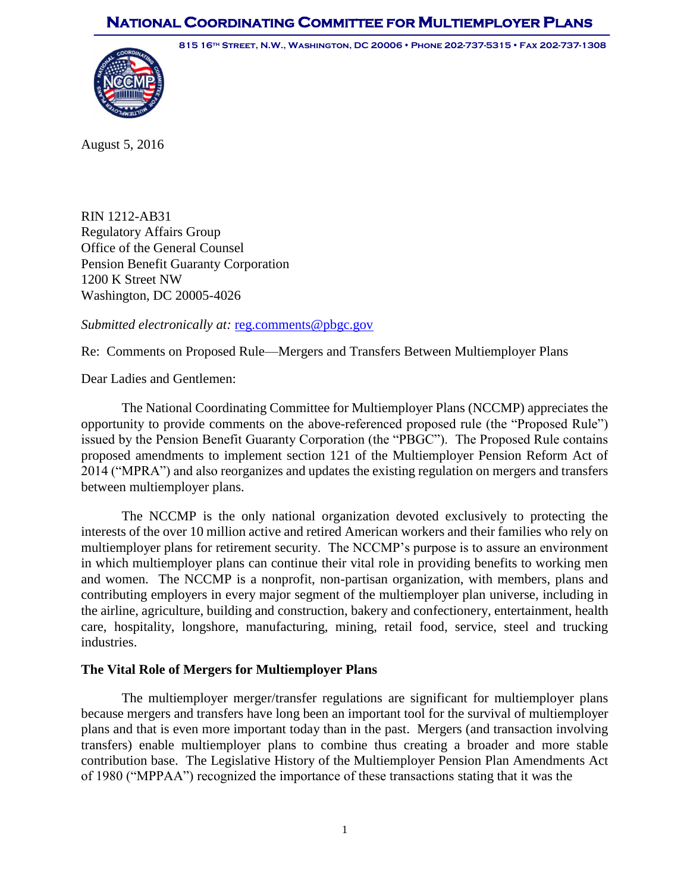# **NATIONAL COORDINATING COMMITTEE FOR MULTIEMPLOYER PLANS**

**815 16th Street, N.W., Washington, DC 20006 Phone 202-737-5315 Fax 202-737-1308** 



August 5, 2016

RIN 1212-AB31 Regulatory Affairs Group Office of the General Counsel Pension Benefit Guaranty Corporation 1200 K Street NW Washington, DC 20005-4026

*Submitted electronically at:* [reg.comments@pbgc.gov](mailto:reg.comments@pbgc.gov)

Re: Comments on Proposed Rule—Mergers and Transfers Between Multiemployer Plans

Dear Ladies and Gentlemen:

The National Coordinating Committee for Multiemployer Plans (NCCMP) appreciates the opportunity to provide comments on the above-referenced proposed rule (the "Proposed Rule") issued by the Pension Benefit Guaranty Corporation (the "PBGC"). The Proposed Rule contains proposed amendments to implement section 121 of the Multiemployer Pension Reform Act of 2014 ("MPRA") and also reorganizes and updates the existing regulation on mergers and transfers between multiemployer plans.

The NCCMP is the only national organization devoted exclusively to protecting the interests of the over 10 million active and retired American workers and their families who rely on multiemployer plans for retirement security. The NCCMP's purpose is to assure an environment in which multiemployer plans can continue their vital role in providing benefits to working men and women. The NCCMP is a nonprofit, non-partisan organization, with members, plans and contributing employers in every major segment of the multiemployer plan universe, including in the airline, agriculture, building and construction, bakery and confectionery, entertainment, health care, hospitality, longshore, manufacturing, mining, retail food, service, steel and trucking industries.

# **The Vital Role of Mergers for Multiemployer Plans**

The multiemployer merger/transfer regulations are significant for multiemployer plans because mergers and transfers have long been an important tool for the survival of multiemployer plans and that is even more important today than in the past. Mergers (and transaction involving transfers) enable multiemployer plans to combine thus creating a broader and more stable contribution base. The Legislative History of the Multiemployer Pension Plan Amendments Act of 1980 ("MPPAA") recognized the importance of these transactions stating that it was the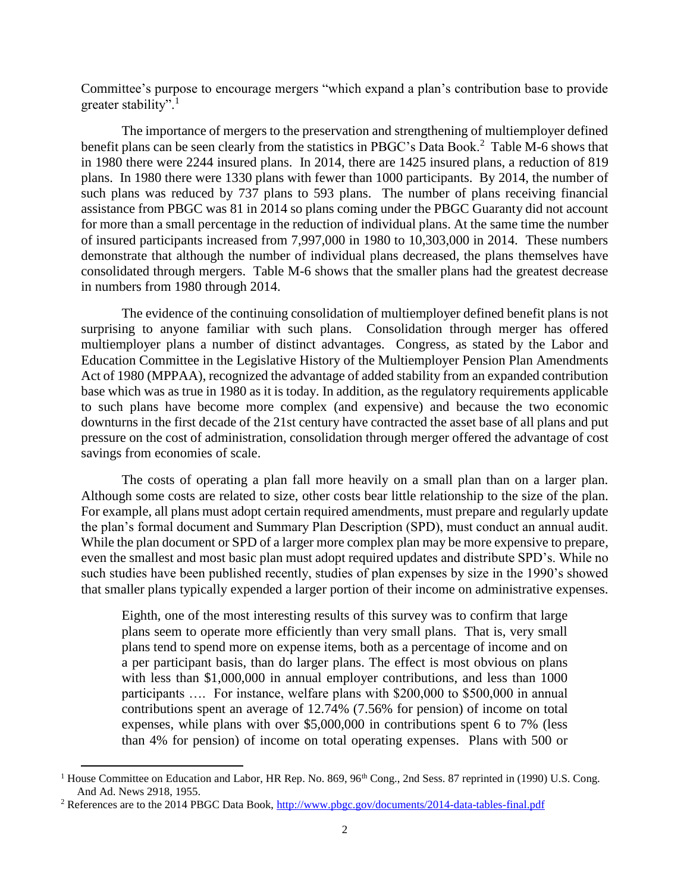Committee's purpose to encourage mergers "which expand a plan's contribution base to provide greater stability".<sup>1</sup>

The importance of mergers to the preservation and strengthening of multiemployer defined benefit plans can be seen clearly from the statistics in PBGC's Data Book.<sup>2</sup> Table M-6 shows that in 1980 there were 2244 insured plans. In 2014, there are 1425 insured plans, a reduction of 819 plans. In 1980 there were 1330 plans with fewer than 1000 participants. By 2014, the number of such plans was reduced by 737 plans to 593 plans. The number of plans receiving financial assistance from PBGC was 81 in 2014 so plans coming under the PBGC Guaranty did not account for more than a small percentage in the reduction of individual plans. At the same time the number of insured participants increased from 7,997,000 in 1980 to 10,303,000 in 2014. These numbers demonstrate that although the number of individual plans decreased, the plans themselves have consolidated through mergers. Table M-6 shows that the smaller plans had the greatest decrease in numbers from 1980 through 2014.

The evidence of the continuing consolidation of multiemployer defined benefit plans is not surprising to anyone familiar with such plans. Consolidation through merger has offered multiemployer plans a number of distinct advantages. Congress, as stated by the Labor and Education Committee in the Legislative History of the Multiemployer Pension Plan Amendments Act of 1980 (MPPAA), recognized the advantage of added stability from an expanded contribution base which was as true in 1980 as it is today. In addition, as the regulatory requirements applicable to such plans have become more complex (and expensive) and because the two economic downturns in the first decade of the 21st century have contracted the asset base of all plans and put pressure on the cost of administration, consolidation through merger offered the advantage of cost savings from economies of scale.

The costs of operating a plan fall more heavily on a small plan than on a larger plan. Although some costs are related to size, other costs bear little relationship to the size of the plan. For example, all plans must adopt certain required amendments, must prepare and regularly update the plan's formal document and Summary Plan Description (SPD), must conduct an annual audit. While the plan document or SPD of a larger more complex plan may be more expensive to prepare, even the smallest and most basic plan must adopt required updates and distribute SPD's. While no such studies have been published recently, studies of plan expenses by size in the 1990's showed that smaller plans typically expended a larger portion of their income on administrative expenses.

Eighth, one of the most interesting results of this survey was to confirm that large plans seem to operate more efficiently than very small plans. That is, very small plans tend to spend more on expense items, both as a percentage of income and on a per participant basis, than do larger plans. The effect is most obvious on plans with less than \$1,000,000 in annual employer contributions, and less than 1000 participants …. For instance, welfare plans with \$200,000 to \$500,000 in annual contributions spent an average of 12.74% (7.56% for pension) of income on total expenses, while plans with over \$5,000,000 in contributions spent 6 to 7% (less than 4% for pension) of income on total operating expenses. Plans with 500 or

<sup>&</sup>lt;sup>1</sup> House Committee on Education and Labor, HR Rep. No. 869, 96<sup>th</sup> Cong., 2nd Sess. 87 reprinted in (1990) U.S. Cong. And Ad. News 2918, 1955.

<sup>&</sup>lt;sup>2</sup> References are to the 2014 PBGC Data Book,<http://www.pbgc.gov/documents/2014-data-tables-final.pdf>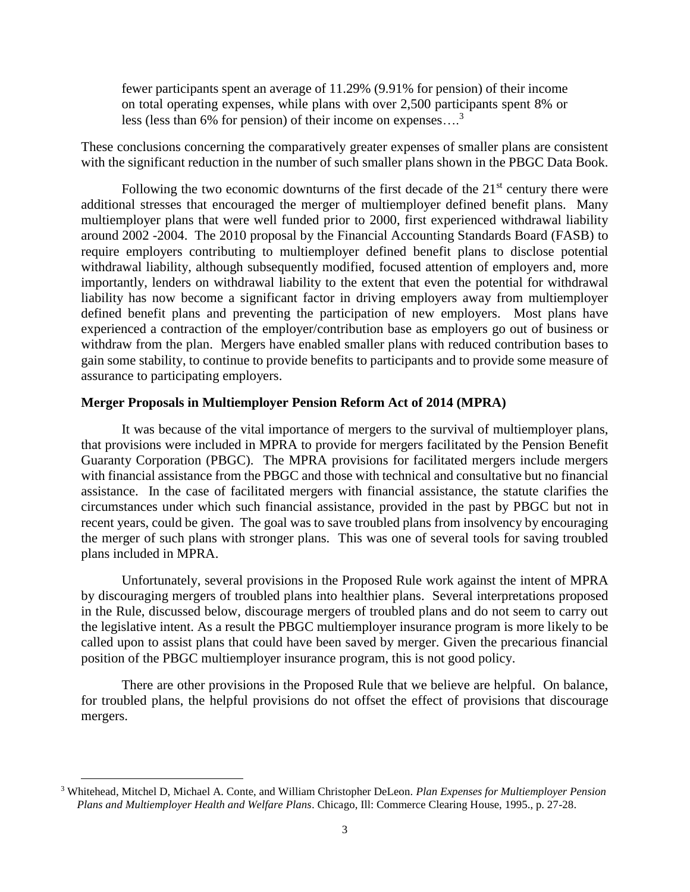fewer participants spent an average of 11.29% (9.91% for pension) of their income on total operating expenses, while plans with over 2,500 participants spent 8% or less (less than 6% for pension) of their income on expenses…. 3

These conclusions concerning the comparatively greater expenses of smaller plans are consistent with the significant reduction in the number of such smaller plans shown in the PBGC Data Book.

Following the two economic downturns of the first decade of the  $21<sup>st</sup>$  century there were additional stresses that encouraged the merger of multiemployer defined benefit plans. Many multiemployer plans that were well funded prior to 2000, first experienced withdrawal liability around 2002 -2004. The 2010 proposal by the Financial Accounting Standards Board (FASB) to require employers contributing to multiemployer defined benefit plans to disclose potential withdrawal liability, although subsequently modified, focused attention of employers and, more importantly, lenders on withdrawal liability to the extent that even the potential for withdrawal liability has now become a significant factor in driving employers away from multiemployer defined benefit plans and preventing the participation of new employers. Most plans have experienced a contraction of the employer/contribution base as employers go out of business or withdraw from the plan. Mergers have enabled smaller plans with reduced contribution bases to gain some stability, to continue to provide benefits to participants and to provide some measure of assurance to participating employers.

# **Merger Proposals in Multiemployer Pension Reform Act of 2014 (MPRA)**

It was because of the vital importance of mergers to the survival of multiemployer plans, that provisions were included in MPRA to provide for mergers facilitated by the Pension Benefit Guaranty Corporation (PBGC). The MPRA provisions for facilitated mergers include mergers with financial assistance from the PBGC and those with technical and consultative but no financial assistance. In the case of facilitated mergers with financial assistance, the statute clarifies the circumstances under which such financial assistance, provided in the past by PBGC but not in recent years, could be given. The goal was to save troubled plans from insolvency by encouraging the merger of such plans with stronger plans. This was one of several tools for saving troubled plans included in MPRA.

Unfortunately, several provisions in the Proposed Rule work against the intent of MPRA by discouraging mergers of troubled plans into healthier plans. Several interpretations proposed in the Rule, discussed below, discourage mergers of troubled plans and do not seem to carry out the legislative intent. As a result the PBGC multiemployer insurance program is more likely to be called upon to assist plans that could have been saved by merger. Given the precarious financial position of the PBGC multiemployer insurance program, this is not good policy.

There are other provisions in the Proposed Rule that we believe are helpful. On balance, for troubled plans, the helpful provisions do not offset the effect of provisions that discourage mergers.

<sup>3</sup> Whitehead, Mitchel D, Michael A. Conte, and William Christopher DeLeon. *Plan Expenses for Multiemployer Pension Plans and Multiemployer Health and Welfare Plans*. Chicago, Ill: Commerce Clearing House, 1995., p. 27-28.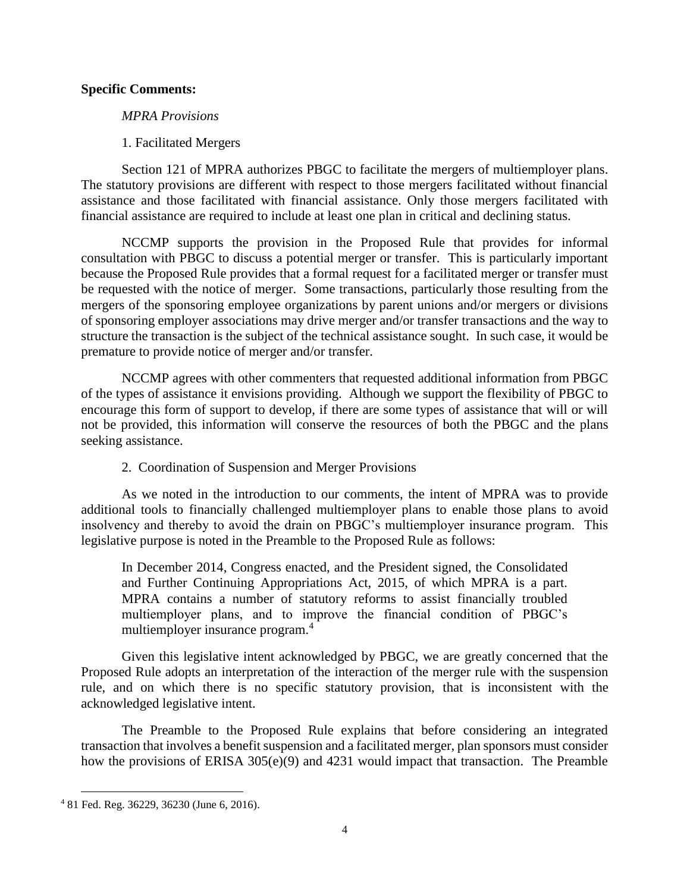### **Specific Comments:**

### *MPRA Provisions*

# 1. Facilitated Mergers

Section 121 of MPRA authorizes PBGC to facilitate the mergers of multiemployer plans. The statutory provisions are different with respect to those mergers facilitated without financial assistance and those facilitated with financial assistance. Only those mergers facilitated with financial assistance are required to include at least one plan in critical and declining status.

NCCMP supports the provision in the Proposed Rule that provides for informal consultation with PBGC to discuss a potential merger or transfer. This is particularly important because the Proposed Rule provides that a formal request for a facilitated merger or transfer must be requested with the notice of merger. Some transactions, particularly those resulting from the mergers of the sponsoring employee organizations by parent unions and/or mergers or divisions of sponsoring employer associations may drive merger and/or transfer transactions and the way to structure the transaction is the subject of the technical assistance sought. In such case, it would be premature to provide notice of merger and/or transfer.

NCCMP agrees with other commenters that requested additional information from PBGC of the types of assistance it envisions providing. Although we support the flexibility of PBGC to encourage this form of support to develop, if there are some types of assistance that will or will not be provided, this information will conserve the resources of both the PBGC and the plans seeking assistance.

# 2. Coordination of Suspension and Merger Provisions

As we noted in the introduction to our comments, the intent of MPRA was to provide additional tools to financially challenged multiemployer plans to enable those plans to avoid insolvency and thereby to avoid the drain on PBGC's multiemployer insurance program. This legislative purpose is noted in the Preamble to the Proposed Rule as follows:

In December 2014, Congress enacted, and the President signed, the Consolidated and Further Continuing Appropriations Act, 2015, of which MPRA is a part. MPRA contains a number of statutory reforms to assist financially troubled multiemployer plans, and to improve the financial condition of PBGC's multiemployer insurance program.<sup>4</sup>

Given this legislative intent acknowledged by PBGC, we are greatly concerned that the Proposed Rule adopts an interpretation of the interaction of the merger rule with the suspension rule, and on which there is no specific statutory provision, that is inconsistent with the acknowledged legislative intent.

The Preamble to the Proposed Rule explains that before considering an integrated transaction that involves a benefit suspension and a facilitated merger, plan sponsors must consider how the provisions of ERISA 305(e)(9) and 4231 would impact that transaction. The Preamble

<sup>4</sup> 81 Fed. Reg. 36229, 36230 (June 6, 2016).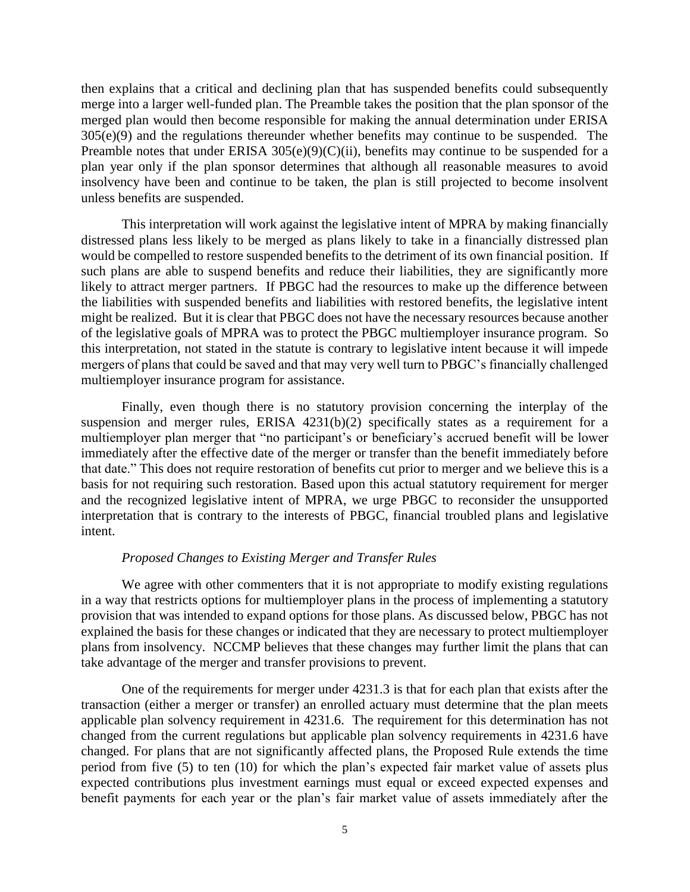then explains that a critical and declining plan that has suspended benefits could subsequently merge into a larger well-funded plan. The Preamble takes the position that the plan sponsor of the merged plan would then become responsible for making the annual determination under ERISA  $305(e)(9)$  and the regulations thereunder whether benefits may continue to be suspended. The Preamble notes that under ERISA  $305(e)(9)(C)(ii)$ , benefits may continue to be suspended for a plan year only if the plan sponsor determines that although all reasonable measures to avoid insolvency have been and continue to be taken, the plan is still projected to become insolvent unless benefits are suspended.

This interpretation will work against the legislative intent of MPRA by making financially distressed plans less likely to be merged as plans likely to take in a financially distressed plan would be compelled to restore suspended benefits to the detriment of its own financial position. If such plans are able to suspend benefits and reduce their liabilities, they are significantly more likely to attract merger partners. If PBGC had the resources to make up the difference between the liabilities with suspended benefits and liabilities with restored benefits, the legislative intent might be realized. But it is clear that PBGC does not have the necessary resources because another of the legislative goals of MPRA was to protect the PBGC multiemployer insurance program. So this interpretation, not stated in the statute is contrary to legislative intent because it will impede mergers of plans that could be saved and that may very well turn to PBGC's financially challenged multiemployer insurance program for assistance.

Finally, even though there is no statutory provision concerning the interplay of the suspension and merger rules, ERISA 4231(b)(2) specifically states as a requirement for a multiemployer plan merger that "no participant's or beneficiary's accrued benefit will be lower immediately after the effective date of the merger or transfer than the benefit immediately before that date." This does not require restoration of benefits cut prior to merger and we believe this is a basis for not requiring such restoration. Based upon this actual statutory requirement for merger and the recognized legislative intent of MPRA, we urge PBGC to reconsider the unsupported interpretation that is contrary to the interests of PBGC, financial troubled plans and legislative intent.

#### *Proposed Changes to Existing Merger and Transfer Rules*

We agree with other commenters that it is not appropriate to modify existing regulations in a way that restricts options for multiemployer plans in the process of implementing a statutory provision that was intended to expand options for those plans. As discussed below, PBGC has not explained the basis for these changes or indicated that they are necessary to protect multiemployer plans from insolvency. NCCMP believes that these changes may further limit the plans that can take advantage of the merger and transfer provisions to prevent.

One of the requirements for merger under 4231.3 is that for each plan that exists after the transaction (either a merger or transfer) an enrolled actuary must determine that the plan meets applicable plan solvency requirement in 4231.6. The requirement for this determination has not changed from the current regulations but applicable plan solvency requirements in 4231.6 have changed. For plans that are not significantly affected plans, the Proposed Rule extends the time period from five (5) to ten (10) for which the plan's expected fair market value of assets plus expected contributions plus investment earnings must equal or exceed expected expenses and benefit payments for each year or the plan's fair market value of assets immediately after the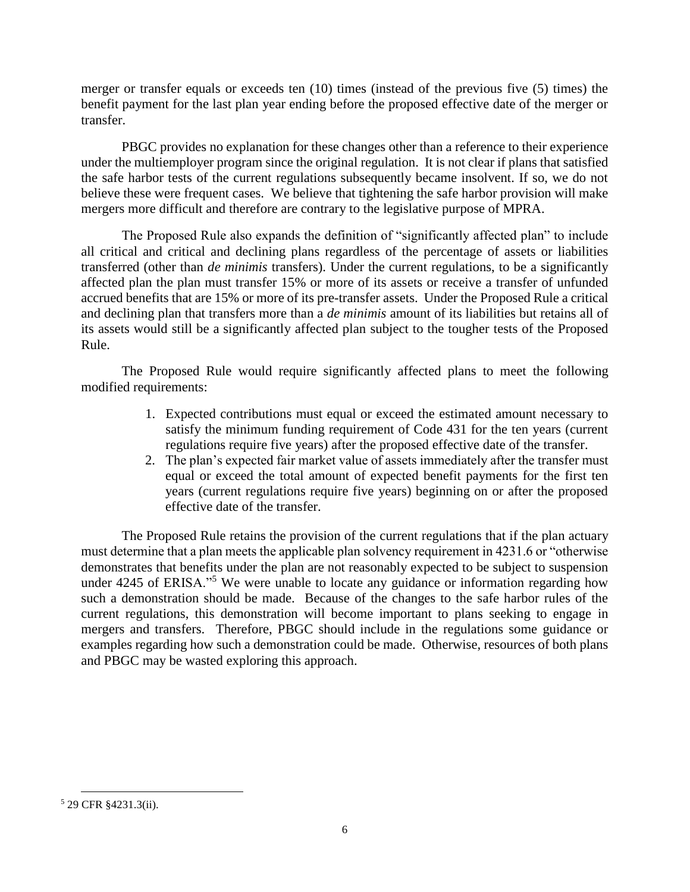merger or transfer equals or exceeds ten (10) times (instead of the previous five (5) times) the benefit payment for the last plan year ending before the proposed effective date of the merger or transfer.

PBGC provides no explanation for these changes other than a reference to their experience under the multiemployer program since the original regulation. It is not clear if plans that satisfied the safe harbor tests of the current regulations subsequently became insolvent. If so, we do not believe these were frequent cases. We believe that tightening the safe harbor provision will make mergers more difficult and therefore are contrary to the legislative purpose of MPRA.

The Proposed Rule also expands the definition of "significantly affected plan" to include all critical and critical and declining plans regardless of the percentage of assets or liabilities transferred (other than *de minimis* transfers). Under the current regulations, to be a significantly affected plan the plan must transfer 15% or more of its assets or receive a transfer of unfunded accrued benefits that are 15% or more of its pre-transfer assets. Under the Proposed Rule a critical and declining plan that transfers more than a *de minimis* amount of its liabilities but retains all of its assets would still be a significantly affected plan subject to the tougher tests of the Proposed Rule.

The Proposed Rule would require significantly affected plans to meet the following modified requirements:

- 1. Expected contributions must equal or exceed the estimated amount necessary to satisfy the minimum funding requirement of Code 431 for the ten years (current regulations require five years) after the proposed effective date of the transfer.
- 2. The plan's expected fair market value of assets immediately after the transfer must equal or exceed the total amount of expected benefit payments for the first ten years (current regulations require five years) beginning on or after the proposed effective date of the transfer.

The Proposed Rule retains the provision of the current regulations that if the plan actuary must determine that a plan meets the applicable plan solvency requirement in 4231.6 or "otherwise demonstrates that benefits under the plan are not reasonably expected to be subject to suspension under 4245 of ERISA."<sup>5</sup> We were unable to locate any guidance or information regarding how such a demonstration should be made. Because of the changes to the safe harbor rules of the current regulations, this demonstration will become important to plans seeking to engage in mergers and transfers. Therefore, PBGC should include in the regulations some guidance or examples regarding how such a demonstration could be made. Otherwise, resources of both plans and PBGC may be wasted exploring this approach.

<sup>5</sup> 29 CFR §4231.3(ii).